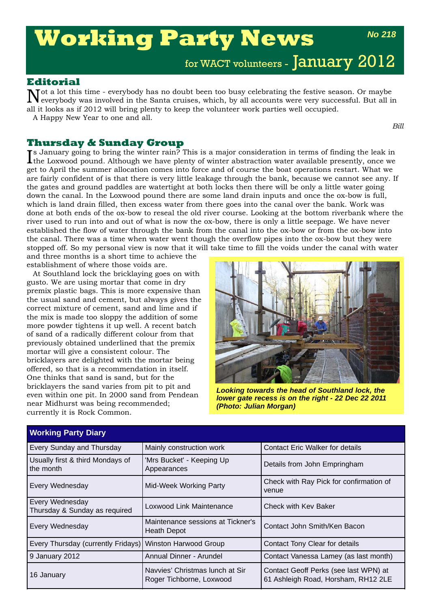# **Working Party News**

*No 218*

for WACT volunteers - January 2012

### **Editorial**

Not a lot this time - everybody has no doubt been too busy celebrating the festive season. Or maybe everybody was involved in the Santa cruises, which, by all accounts were very successful. But all in all it looks as if 2012 will bring plenty to keep the volunteer work parties well occupied. A Happy New Year to one and all.

*Bill*

### **Thursday & Sunday Group**

Is January going to bring the winter rain? This is a major consideration in terms of finding the leak in the Loxwood pound. Although we have plenty of winter abstraction water available presently, once we the Loxwood pound. Although we have plenty of winter abstraction water available presently, once we get to April the summer allocation comes into force and of course the boat operations restart. What we are fairly confident of is that there is very little leakage through the bank, because we cannot see any. If the gates and ground paddles are watertight at both locks then there will be only a little water going down the canal. In the Loxwood pound there are some land drain inputs and once the ox-bow is full, which is land drain filled, then excess water from there goes into the canal over the bank. Work was done at both ends of the ox-bow to reseal the old river course. Looking at the bottom riverbank where the river used to run into and out of what is now the ox-bow, there is only a little seepage. We have never established the flow of water through the bank from the canal into the ox-bow or from the ox-bow into the canal. There was a time when water went though the overflow pipes into the ox-bow but they were stopped off. So my personal view is now that it will take time to fill the voids under the canal with water and three months is a short time to achieve the

establishment of where those voids are.

At Southland lock the bricklaying goes on with gusto. We are using mortar that come in dry premix plastic bags. This is more expensive than the usual sand and cement, but always gives the correct mixture of cement, sand and lime and if the mix is made too sloppy the addition of some more powder tightens it up well. A recent batch of sand of a radically different colour from that previously obtained underlined that the premix mortar will give a consistent colour. The bricklayers are delighted with the mortar being offered, so that is a recommendation in itself. One thinks that sand is sand, but for the bricklayers the sand varies from pit to pit and even within one pit. In 2000 sand from Pendean near Midhurst was being recommended; currently it is Rock Common.



*Looking towards the head of Southland lock, the lower gate recess is on the right - 22 Dec 22 2011 (Photo: Julian Morgan)* 

| <b>Working Party Diary</b>                               |                                                                          |                                                                              |  |  |
|----------------------------------------------------------|--------------------------------------------------------------------------|------------------------------------------------------------------------------|--|--|
| Every Sunday and Thursday                                | Mainly construction work                                                 | <b>Contact Eric Walker for details</b>                                       |  |  |
| Usually first & third Mondays of<br>the month            | 'Mrs Bucket' - Keeping Up<br>Details from John Empringham<br>Appearances |                                                                              |  |  |
| Every Wednesday                                          | Mid-Week Working Party                                                   | Check with Ray Pick for confirmation of<br>venue                             |  |  |
| Every Wednesday<br>Thursday & Sunday as required         | Loxwood Link Maintenance                                                 | Check with Kev Baker                                                         |  |  |
| Every Wednesday                                          | Maintenance sessions at Tickner's<br><b>Heath Depot</b>                  | Contact John Smith/Ken Bacon                                                 |  |  |
| Every Thursday (currently Fridays) Winston Harwood Group |                                                                          | Contact Tony Clear for details                                               |  |  |
| 9 January 2012                                           | Annual Dinner - Arundel                                                  | Contact Vanessa Lamey (as last month)                                        |  |  |
| 16 January                                               | Navvies' Christmas lunch at Sir<br>Roger Tichborne, Loxwood              | Contact Geoff Perks (see last WPN) at<br>61 Ashleigh Road, Horsham, RH12 2LE |  |  |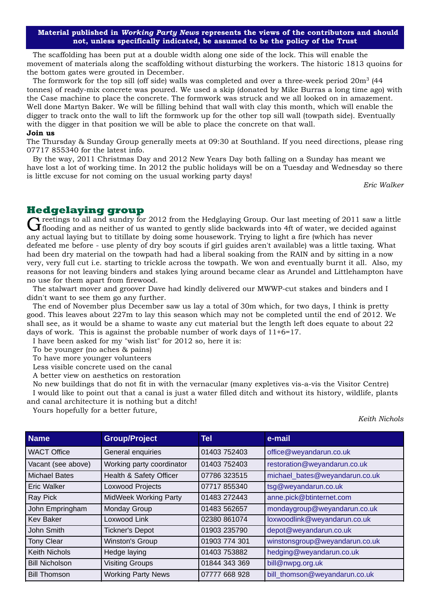**Material published in** *Working Party News* **represents the views of the contributors and should not, unless specifically indicated, be assumed to be the policy of the Trust**

The scaffolding has been put at a double width along one side of the lock. This will enable the movement of materials along the scaffolding without disturbing the workers. The historic 1813 quoins for the bottom gates were grouted in December.

The formwork for the top sill (off side) walls was completed and over a three-week period  $20m^3$  (44 tonnes) of ready-mix concrete was poured. We used a skip (donated by Mike Burras a long time ago) with the Case machine to place the concrete. The formwork was struck and we all looked on in amazement. Well done Martyn Baker. We will be filling behind that wall with clay this month, which will enable the digger to track onto the wall to lift the formwork up for the other top sill wall (towpath side). Eventually with the digger in that position we will be able to place the concrete on that wall.

### **Join us**

The Thursday & Sunday Group generally meets at 09:30 at Southland. If you need directions, please ring 07717 855340 for the latest info.

By the way, 2011 Christmas Day and 2012 New Years Day both falling on a Sunday has meant we have lost a lot of working time. In 2012 the public holidays will be on a Tuesday and Wednesday so there is little excuse for not coming on the usual working party days!

*Eric Walker*

**Hedgelaying group**<br> **C** rectings to all and sundry for 2012 from the Hedglaying Group. Our last meeting of 2011 saw a little Greetings to all and sundry for 2012 from the Hedglaying Group. Our last meeting of 2011 saw a little diffuoding and as neither of us wanted to gently slide backwards into 4ft of water, we decided against any actual laying but to titillate by doing some housework. Trying to light a fire (which has never defeated me before - use plenty of dry boy scouts if girl guides aren't available) was a little taxing. What had been dry material on the towpath had had a liberal soaking from the RAIN and by sitting in a now very, very full cut i.e. starting to trickle across the towpath. We won and eventually burnt it all. Also, my reasons for not leaving binders and stakes lying around became clear as Arundel and Littlehampton have no use for them apart from firewood.

The stalwart mover and groover Dave had kindly delivered our MWWP-cut stakes and binders and I didn't want to see them go any further.

The end of November plus December saw us lay a total of 30m which, for two days, I think is pretty good. This leaves about 227m to lay this season which may not be completed until the end of 2012. We shall see, as it would be a shame to waste any cut material but the length left does equate to about 22 days of work. This is against the probable number of work days of  $11+6=17$ .

I have been asked for my "wish list" for 2012 so, here it is:

To be younger (no aches & pains)

To have more younger volunteers

Less visible concrete used on the canal

A better view on aesthetics on restoration

No new buildings that do not fit in with the vernacular (many expletives vis-a-vis the Visitor Centre) I would like to point out that a canal is just a water filled ditch and without its history, wildlife, plants and canal architecture it is nothing but a ditch!

Yours hopefully for a better future,

*Keith Nichols*

| <b>Name</b>           | <b>Group/Project</b>         | <b>Tel</b>    | e-mail                         |
|-----------------------|------------------------------|---------------|--------------------------------|
| <b>WACT Office</b>    | General enquiries            | 01403 752403  | office@weyandarun.co.uk        |
| Vacant (see above)    | Working party coordinator    | 01403 752403  | restoration@weyandarun.co.uk   |
| <b>Michael Bates</b>  | Health & Safety Officer      | 07786 323515  | michael_bates@weyandarun.co.uk |
| <b>Eric Walker</b>    | Loxwood Projects             | 07717 855340  | tsg@weyandarun.co.uk           |
| Ray Pick              | <b>MidWeek Working Party</b> | 01483 272443  | anne.pick@btinternet.com       |
| John Empringham       | Monday Group                 | 01483 562657  | mondaygroup@weyandarun.co.uk   |
| <b>Kev Baker</b>      | Loxwood Link                 | 02380 861074  | loxwoodlink@weyandarun.co.uk   |
| John Smith            | <b>Tickner's Depot</b>       | 01903 235790  | depot@weyandarun.co.uk         |
| <b>Tony Clear</b>     | <b>Winston's Group</b>       | 01903 774 301 | winstonsgroup@weyandarun.co.uk |
| <b>Keith Nichols</b>  | Hedge laying                 | 01403 753882  | hedging@weyandarun.co.uk       |
| <b>Bill Nicholson</b> | <b>Visiting Groups</b>       | 01844 343 369 | bill@nwpg.org.uk               |
| <b>Bill Thomson</b>   | <b>Working Party News</b>    | 07777 668 928 | bill_thomson@weyandarun.co.uk  |